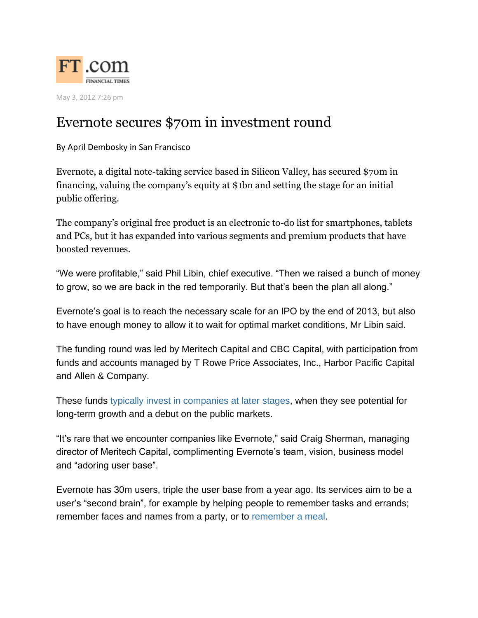

May 3, 2012 7:26 pm

## Evernote secures \$70m in investment round

By April Dembosky in San Francisco

Evernote, a digital note-taking service based in Silicon Valley, has secured \$70m in financing, valuing the company's equity at \$1bn and setting the stage for an initial public offering.

The company's original free product is an electronic to-do list for smartphones, tablets and PCs, but it has expanded into various segments and premium products that have boosted revenues.

"We were profitable," said Phil Libin, chief executive. "Then we raised a bunch of money to grow, so we are back in the red temporarily. But that's been the plan all along."

Evernote's goal is to reach the necessary scale for an IPO by the end of 2013, but also to have enough money to allow it to wait for optimal market conditions, Mr Libin said.

The funding round was led by Meritech Capital and CBC Capital, with participation from funds and accounts managed by T Rowe Price Associates, Inc., Harbor Pacific Capital and Allen & Company.

These funds typically invest in companies at later stages, when they see potential for long-term growth and a debut on the public markets.

"It's rare that we encounter companies like Evernote," said Craig Sherman, managing director of Meritech Capital, complimenting Evernote's team, vision, business model and "adoring user base".

Evernote has 30m users, triple the user base from a year ago. Its services aim to be a user's "second brain", for example by helping people to remember tasks and errands; remember faces and names from a party, or to remember a meal.